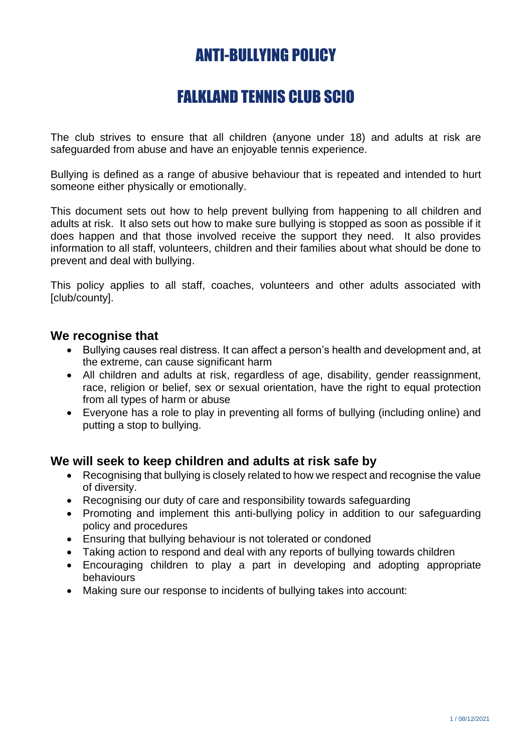# ANTI-BULLYING POLICY

## FALKLAND TENNIS CLUB SCIO

The club strives to ensure that all children (anyone under 18) and adults at risk are safeguarded from abuse and have an enjoyable tennis experience.

Bullying is defined as a range of abusive behaviour that is repeated and intended to hurt someone either physically or emotionally.

This document sets out how to help prevent bullying from happening to all children and adults at risk. It also sets out how to make sure bullying is stopped as soon as possible if it does happen and that those involved receive the support they need. It also provides information to all staff, volunteers, children and their families about what should be done to prevent and deal with bullying.

This policy applies to all staff, coaches, volunteers and other adults associated with [club/county].

#### **We recognise that**

- Bullying causes real distress. It can affect a person's health and development and, at the extreme, can cause significant harm
- All children and adults at risk, regardless of age, disability, gender reassignment, race, religion or belief, sex or sexual orientation, have the right to equal protection from all types of harm or abuse
- Everyone has a role to play in preventing all forms of bullying (including online) and putting a stop to bullying.

#### **We will seek to keep children and adults at risk safe by**

- Recognising that bullying is closely related to how we respect and recognise the value of diversity.
- Recognising our duty of care and responsibility towards safeguarding
- Promoting and implement this anti-bullying policy in addition to our safeguarding policy and procedures
- Ensuring that bullying behaviour is not tolerated or condoned
- Taking action to respond and deal with any reports of bullying towards children
- Encouraging children to play a part in developing and adopting appropriate behaviours
- Making sure our response to incidents of bullying takes into account: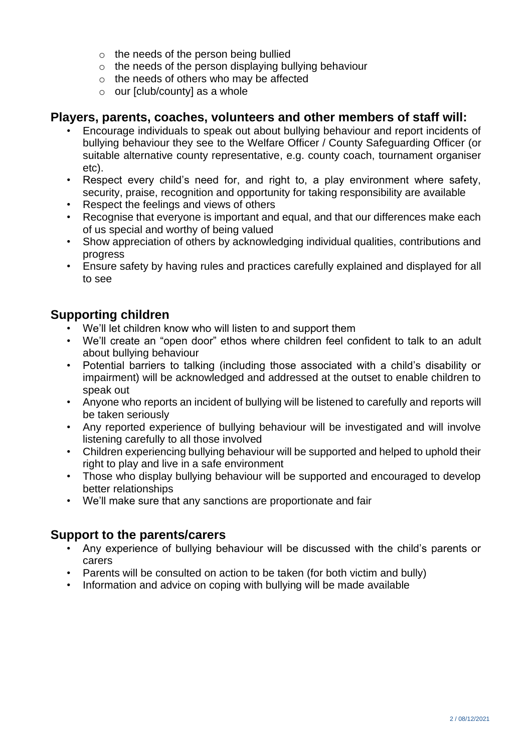- o the needs of the person being bullied
- $\circ$  the needs of the person displaying bullying behaviour
- $\circ$  the needs of others who may be affected
- $\circ$  our [club/county] as a whole

#### **Players, parents, coaches, volunteers and other members of staff will:**

- Encourage individuals to speak out about bullying behaviour and report incidents of bullying behaviour they see to the Welfare Officer / County Safeguarding Officer (or suitable alternative county representative, e.g. county coach, tournament organiser etc).
- Respect every child's need for, and right to, a play environment where safety, security, praise, recognition and opportunity for taking responsibility are available
- Respect the feelings and views of others
- Recognise that everyone is important and equal, and that our differences make each of us special and worthy of being valued
- Show appreciation of others by acknowledging individual qualities, contributions and progress
- Ensure safety by having rules and practices carefully explained and displayed for all to see

## **Supporting children**

- We'll let children know who will listen to and support them
- We'll create an "open door" ethos where children feel confident to talk to an adult about bullying behaviour
- Potential barriers to talking (including those associated with a child's disability or impairment) will be acknowledged and addressed at the outset to enable children to speak out
- Anyone who reports an incident of bullying will be listened to carefully and reports will be taken seriously
- Any reported experience of bullying behaviour will be investigated and will involve listening carefully to all those involved
- Children experiencing bullying behaviour will be supported and helped to uphold their right to play and live in a safe environment
- Those who display bullying behaviour will be supported and encouraged to develop better relationships
- We'll make sure that any sanctions are proportionate and fair

## **Support to the parents/carers**

- Any experience of bullying behaviour will be discussed with the child's parents or carers
- Parents will be consulted on action to be taken (for both victim and bully)
- Information and advice on coping with bullying will be made available